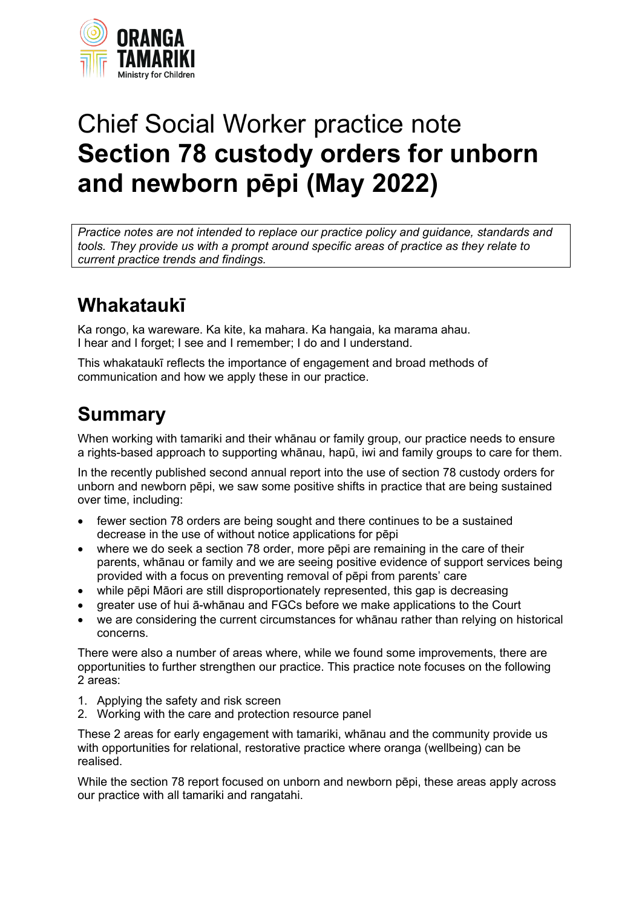

# Chief Social Worker practice note **Section 78 custody orders for unborn and newborn pēpi (May 2022)**

*Practice notes are not intended to replace our practice policy and guidance, standards and tools. They provide us with a prompt around specific areas of practice as they relate to current practice trends and findings.*

## **Whakataukī**

Ka rongo, ka wareware. Ka kite, ka mahara. Ka hangaia, ka marama ahau. I hear and I forget; I see and I remember; I do and I understand.

This whakataukī reflects the importance of engagement and broad methods of communication and how we apply these in our practice.

# **Summary**

When working with tamariki and their whānau or family group, our practice needs to ensure a rights-based approach to supporting whānau, hapū, iwi and family groups to care for them.

In the recently published second annual report into the use of section 78 custody orders for unborn and newborn pēpi, we saw some positive shifts in practice that are being sustained over time, including:

- fewer section 78 orders are being sought and there continues to be a sustained decrease in the use of without notice applications for pēpi
- where we do seek a section 78 order, more pēpi are remaining in the care of their parents, whānau or family and we are seeing positive evidence of support services being provided with a focus on preventing removal of pēpi from parents' care
- while pēpi Māori are still disproportionately represented, this gap is decreasing
- greater use of hui ā-whānau and FGCs before we make applications to the Court
- we are considering the current circumstances for whānau rather than relying on historical concerns.

There were also a number of areas where, while we found some improvements, there are opportunities to further strengthen our practice. This practice note focuses on the following 2 areas:

- 1. Applying the safety and risk screen
- 2. Working with the care and protection resource panel

These 2 areas for early engagement with tamariki, whānau and the community provide us with opportunities for relational, restorative practice where oranga (wellbeing) can be realised.

While the section 78 report focused on unborn and newborn pēpi, these areas apply across our practice with all tamariki and rangatahi.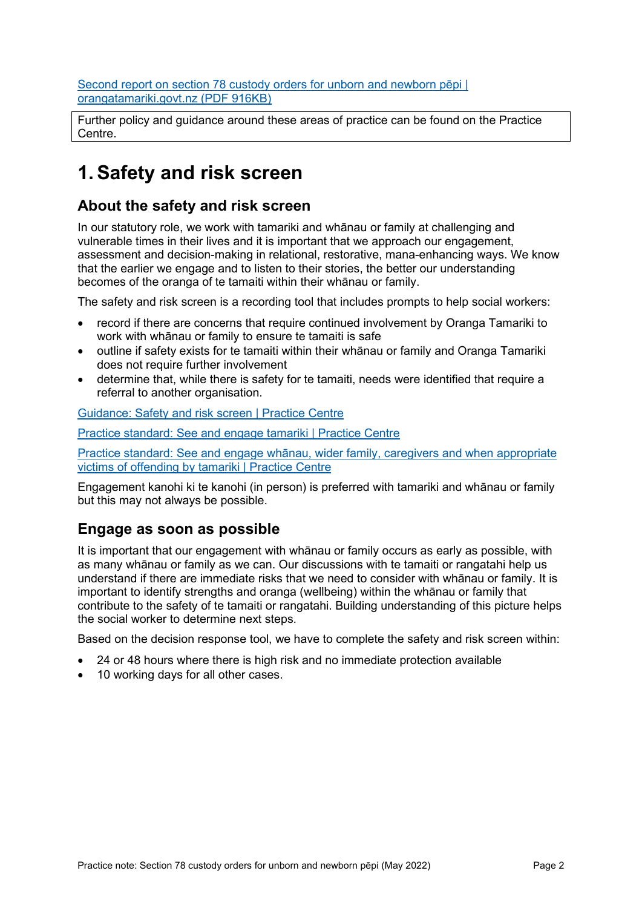[Second report on section 78 custody orders for unborn and newborn pēpi |](https://www.orangatamariki.govt.nz/assets/Uploads/About-us/Performance-and-monitoring/Ombudsman-reports/Report-s78-pepi-review-FINAL-March-22.pdf)  [orangatamariki.govt.nz \(PDF 916KB\)](https://www.orangatamariki.govt.nz/assets/Uploads/About-us/Performance-and-monitoring/Ombudsman-reports/Report-s78-pepi-review-FINAL-March-22.pdf)

Further policy and guidance around these areas of practice can be found on the Practice Centre.

### **1. Safety and risk screen**

#### **About the safety and risk screen**

In our statutory role, we work with tamariki and whānau or family at challenging and vulnerable times in their lives and it is important that we approach our engagement, assessment and decision-making in relational, restorative, mana-enhancing ways. We know that the earlier we engage and to listen to their stories, the better our understanding becomes of the oranga of te tamaiti within their whānau or family.

The safety and risk screen is a recording tool that includes prompts to help social workers:

- record if there are concerns that require continued involvement by Oranga Tamariki to work with whānau or family to ensure te tamaiti is safe
- outline if safety exists for te tamaiti within their whānau or family and Oranga Tamariki does not require further involvement
- determine that, while there is safety for te tamaiti, needs were identified that require a referral to another organisation.

Guidance: S[afety and risk scree](https://practice.orangatamariki.govt.nz/core-practice/practice-tools/other-practice-and-assessment-tools/safety-and-risk-screen/)n | Practice Centre

Practice standard: S[ee and engage tamariki | Practice Centre](https://practice.orangatamariki.govt.nz/practice-approach/practice-standards/see-and-engage-tamariki/)

Practice standard: See and engage whānau, wider fami[ly, caregivers and when appropriate](https://practice.orangatamariki.govt.nz/practice-approach/practice-standards/see-and-engage-whanau-wider-family-caregivers-and-when-appropriate-victims-of-offending-by-tamariki/)  [victims of offending by tamariki | Practice Centre](https://practice.orangatamariki.govt.nz/practice-approach/practice-standards/see-and-engage-whanau-wider-family-caregivers-and-when-appropriate-victims-of-offending-by-tamariki/)

Engagement kanohi ki te kanohi (in person) is preferred with tamariki and whānau or family but this may not always be possible.

#### **Engage as soon as possible**

It is important that our engagement with whānau or family occurs as early as possible, with as many whānau or family as we can. Our discussions with te tamaiti or rangatahi help us understand if there are immediate risks that we need to consider with whānau or family. It is important to identify strengths and oranga (wellbeing) within the whānau or family that contribute to the safety of te tamaiti or rangatahi. Building understanding of this picture helps the social worker to determine next steps.

Based on the decision response tool, we have to complete the safety and risk screen within:

- 24 or 48 hours where there is high risk and no immediate protection available
- 10 working days for all other cases.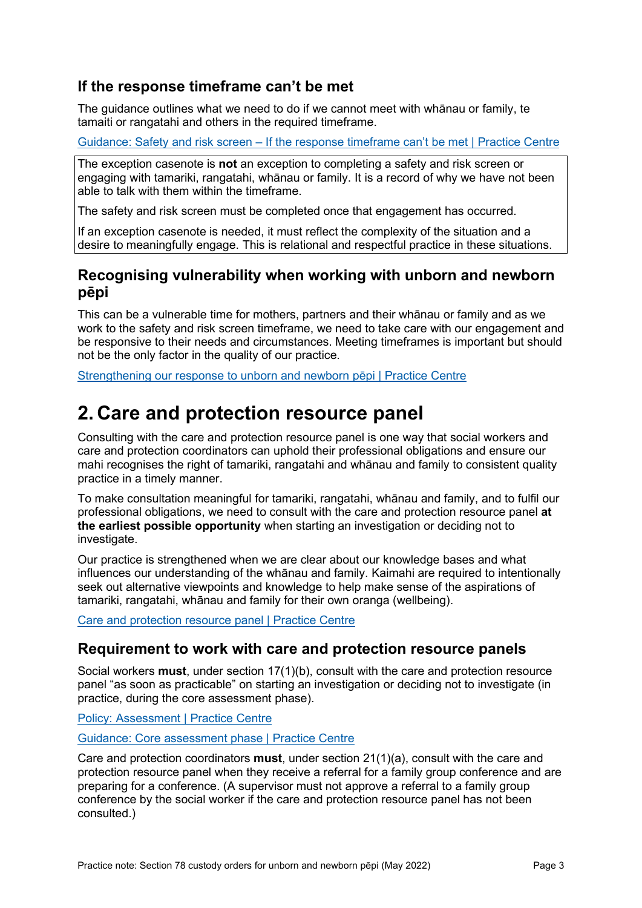#### **If the response timeframe can't be met**

The guidance outlines what we need to do if we cannot meet with whānau or family, te tamaiti or rangatahi and others in the required timeframe.

Guidance: Safety and risk screen – [If the response timeframe can't be met](https://practice.orangatamariki.govt.nz/core-practice/practice-tools/other-practice-and-assessment-tools/safety-and-risk-screen/#when-to-use-it) | Practice Centre

The exception casenote is **not** an exception to completing a safety and risk screen or engaging with tamariki, rangatahi, whānau or family. It is a record of why we have not been able to talk with them within the timeframe.

The safety and risk screen must be completed once that engagement has occurred.

If an exception casenote is needed, it must reflect the complexity of the situation and a desire to meaningfully engage. This is relational and respectful practice in these situations.

#### **Recognising vulnerability when working with unborn and newborn pēpi**

This can be a vulnerable time for mothers, partners and their whānau or family and as we work to the safety and risk screen timeframe, we need to take care with our engagement and be responsive to their needs and circumstances. Meeting timeframes is important but should not be the only factor in the quality of our practice.

[Strengthening our response to unborn and newborn pēpi | Practice Centre](https://practice.orangatamariki.govt.nz/our-work/assessment-and-planning/assessments/intake-and-early-assessment/strengthening-our-response-to-unborn-and-newborn-pepi/)

### **2. Care and protection resource panel**

Consulting with the care and protection resource panel is one way that social workers and care and protection coordinators can uphold their professional obligations and ensure our mahi recognises the right of tamariki, rangatahi and whānau and family to consistent quality practice in a timely manner.

To make consultation meaningful for tamariki, rangatahi, whānau and family, and to fulfil our professional obligations, we need to consult with the care and protection resource panel **at the earliest possible opportunity** when starting an investigation or deciding not to investigate.

Our practice is strengthened when we are clear about our knowledge bases and what influences our understanding of the whānau and family. Kaimahi are required to intentionally seek out alternative viewpoints and knowledge to help make sense of the aspirations of tamariki, rangatahi, whānau and family for their own oranga (wellbeing).

[Care and protection resource panel | Practice Centre](https://practice.orangatamariki.govt.nz/practice-approach/practice-standards/work-closely-in-partnership-with-others/care-and-protection-resource-panel/)

#### **Requirement to work with care and protection resource panels**

Social workers **must**, under section 17(1)(b), consult with the care and protection resource panel "as soon as practicable" on starting an investigation or deciding not to investigate (in practice, during the core assessment phase).

Policy: A[ssessment | Practice Centre](https://practice.orangatamariki.govt.nz/policy/assessment/)

[Guidance: Core assessment phase | Practice Centre](https://practice.orangatamariki.govt.nz/our-work/assessment-and-planning/assessments/intake-and-early-assessment/core-assessment-phase/)

Care and protection coordinators **must**, under section 21(1)(a), consult with the care and protection resource panel when they receive a referral for a family group conference and are preparing for a conference. (A supervisor must not approve a referral to a family group conference by the social worker if the care and protection resource panel has not been consulted.)